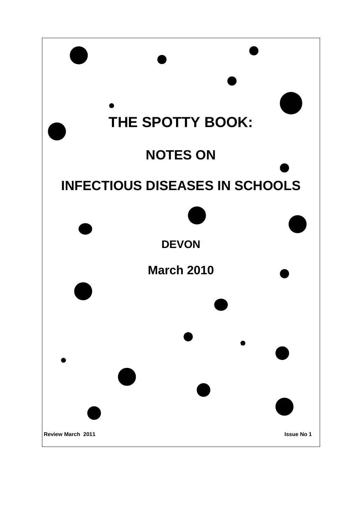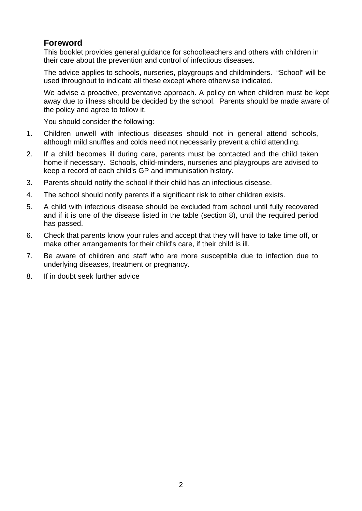# **Foreword**

This booklet provides general guidance for schoolteachers and others with children in their care about the prevention and control of infectious diseases.

The advice applies to schools, nurseries, playgroups and childminders. "School" will be used throughout to indicate all these except where otherwise indicated.

We advise a proactive, preventative approach. A policy on when children must be kept away due to illness should be decided by the school. Parents should be made aware of the policy and agree to follow it.

You should consider the following:

- 1. Children unwell with infectious diseases should not in general attend schools, although mild snuffles and colds need not necessarily prevent a child attending.
- 2. If a child becomes ill during care, parents must be contacted and the child taken home if necessary. Schools, child-minders, nurseries and playgroups are advised to keep a record of each child's GP and immunisation history.
- 3. Parents should notify the school if their child has an infectious disease.
- 4. The school should notify parents if a significant risk to other children exists.
- 5. A child with infectious disease should be excluded from school until fully recovered and if it is one of the disease listed in the table (section 8), until the required period has passed.
- 6. Check that parents know your rules and accept that they will have to take time off, or make other arrangements for their child's care, if their child is ill.
- 7. Be aware of children and staff who are more susceptible due to infection due to underlying diseases, treatment or pregnancy.
- 8. If in doubt seek further advice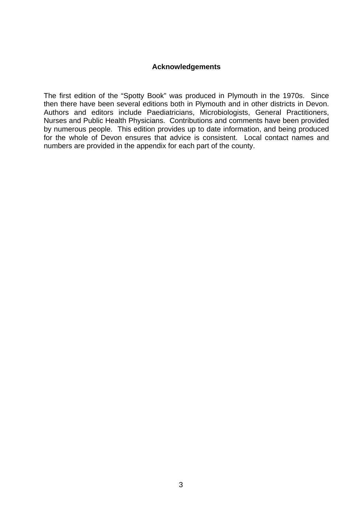### **Acknowledgements**

The first edition of the "Spotty Book" was produced in Plymouth in the 1970s. Since then there have been several editions both in Plymouth and in other districts in Devon. Authors and editors include Paediatricians, Microbiologists, General Practitioners, Nurses and Public Health Physicians. Contributions and comments have been provided by numerous people. This edition provides up to date information, and being produced for the whole of Devon ensures that advice is consistent. Local contact names and numbers are provided in the appendix for each part of the county.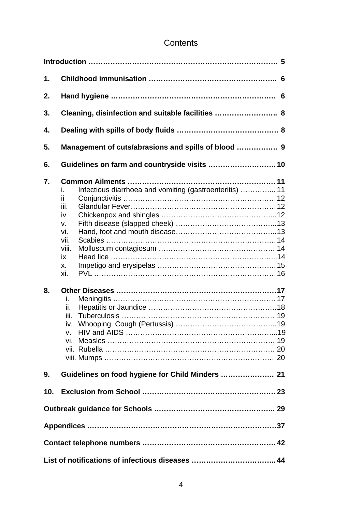# **Contents**

| 1.       |                                                                                                                                                          |
|----------|----------------------------------------------------------------------------------------------------------------------------------------------------------|
| 2.       |                                                                                                                                                          |
| 3.       | Cleaning, disinfection and suitable facilities  8                                                                                                        |
| 4.       |                                                                                                                                                          |
| 5.       | Management of cuts/abrasions and spills of blood  9                                                                                                      |
| 6.       |                                                                                                                                                          |
| 7.<br>8. | Infectious diarrhoea and vomiting (gastroenteritis)  11<br>L.<br>ii.<br>iii.<br>iv<br>V.<br>vi.<br>vii.<br>viii.<br>iх<br>х.<br>xi.<br>İ.<br>ii.<br>iii. |
|          | V.                                                                                                                                                       |
| 9.       |                                                                                                                                                          |
| 10.      |                                                                                                                                                          |
|          |                                                                                                                                                          |
|          |                                                                                                                                                          |
|          |                                                                                                                                                          |
|          |                                                                                                                                                          |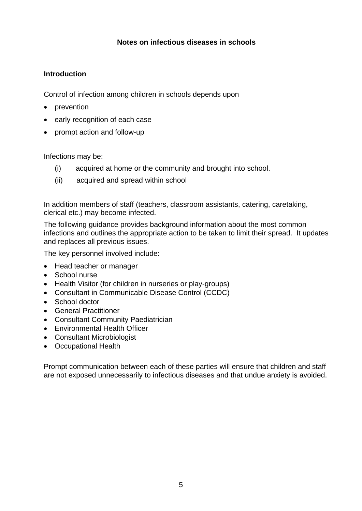# **Notes on infectious diseases in schools**

# **Introduction**

Control of infection among children in schools depends upon

- prevention
- early recognition of each case
- prompt action and follow-up

Infections may be:

- (i) acquired at home or the community and brought into school.
- (ii) acquired and spread within school

In addition members of staff (teachers, classroom assistants, catering, caretaking, clerical etc.) may become infected.

The following guidance provides background information about the most common infections and outlines the appropriate action to be taken to limit their spread. It updates and replaces all previous issues.

The key personnel involved include:

- Head teacher or manager
- School nurse
- Health Visitor (for children in nurseries or play-groups)
- Consultant in Communicable Disease Control (CCDC)
- School doctor
- General Practitioner
- Consultant Community Paediatrician
- Environmental Health Officer
- Consultant Microbiologist
- Occupational Health

Prompt communication between each of these parties will ensure that children and staff are not exposed unnecessarily to infectious diseases and that undue anxiety is avoided.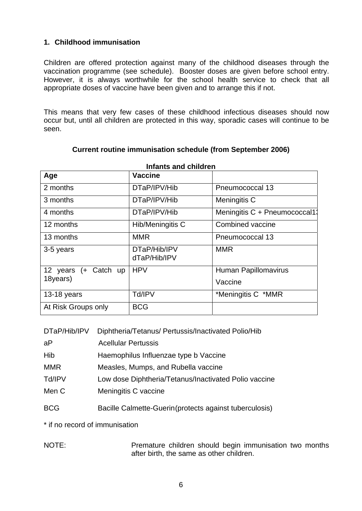# **1. Childhood immunisation**

Children are offered protection against many of the childhood diseases through the vaccination programme (see schedule). Booster doses are given before school entry. However, it is always worthwhile for the school health service to check that all appropriate doses of vaccine have been given and to arrange this if not.

This means that very few cases of these childhood infectious diseases should now occur but, until all children are protected in this way, sporadic cases will continue to be seen.

| <b>Infants and children</b> |                              |                               |  |
|-----------------------------|------------------------------|-------------------------------|--|
| Age                         | <b>Vaccine</b>               |                               |  |
| 2 months                    | DTaP/IPV/Hib                 | Pneumococcal 13               |  |
| 3 months                    | DTaP/IPV/Hib                 | Meningitis C                  |  |
| 4 months                    | DTaP/IPV/Hib                 | Meningitis C + Pneumococcal1: |  |
| 12 months                   | Hib/Meningitis C             | Combined vaccine              |  |
| 13 months                   | <b>MMR</b>                   | Pneumococcal 13               |  |
| 3-5 years                   | DTaP/Hib/IPV<br>dTaP/Hib/IPV | <b>MMR</b>                    |  |
| 12 years (+ Catch up        | <b>HPV</b>                   | Human Papillomavirus          |  |
| 18years)                    |                              | Vaccine                       |  |
| 13-18 years                 | Td/IPV                       | *Meningitis C *MMR            |  |
| At Risk Groups only         | <b>BCG</b>                   |                               |  |

### **Current routine immunisation schedule (from September 2006)**

|  | DTaP/Hib/IPV Diphtheria/Tetanus/ Pertussis/Inactivated Polio/Hib |
|--|------------------------------------------------------------------|
|  |                                                                  |

| <b>Acellular Pertussis</b>                            |
|-------------------------------------------------------|
| Haemophilus Influenzae type b Vaccine                 |
| Measles, Mumps, and Rubella vaccine                   |
| Low dose Diphtheria/Tetanus/Inactivated Polio vaccine |
| Meningitis C vaccine                                  |
|                                                       |

BCG Bacille Calmette-Guerin (protects against tuberculosis)

\* if no record of immunisation

NOTE: Premature children should begin immunisation two months after birth, the same as other children.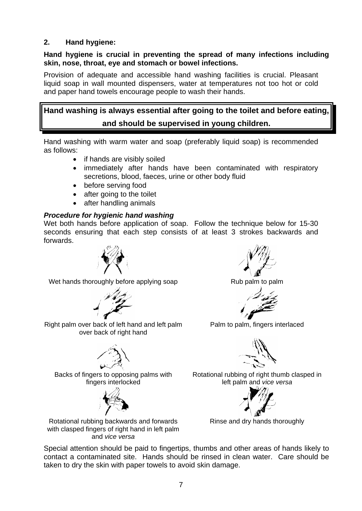# **2. Hand hygiene:**

### **Hand hygiene is crucial in preventing the spread of many infections including skin, nose, throat, eye and stomach or bowel infections.**

Provision of adequate and accessible hand washing facilities is crucial. Pleasant liquid soap in wall mounted dispensers, water at temperatures not too hot or cold and paper hand towels encourage people to wash their hands.

# **Hand washing is always essential after going to the toilet and before eating, and should be supervised in young children.**

Hand washing with warm water and soap (preferably liquid soap) is recommended as follows:

- if hands are visibly soiled
- immediately after hands have been contaminated with respiratory secretions, blood, faeces, urine or other body fluid
- before serving food
- after going to the toilet
- after handling animals

# *Procedure for hygienic hand washing*

Wet both hands before application of soap. Follow the technique below for 15-30 seconds ensuring that each step consists of at least 3 strokes backwards and forwards.



Wet hands thoroughly before applying soap Rub palm to palm



Right palm over back of left hand and left palm over back of right hand



Backs of fingers to opposing palms with fingers interlocked



Rotational rubbing backwards and forwards with clasped fingers of right hand in left palm and *vice versa*





Palm to palm, fingers interlaced



Rotational rubbing of right thumb clasped in left palm and *vice versa*



Rinse and dry hands thoroughly

Special attention should be paid to fingertips, thumbs and other areas of hands likely to contact a contaminated site. Hands should be rinsed in clean water. Care should be taken to dry the skin with paper towels to avoid skin damage.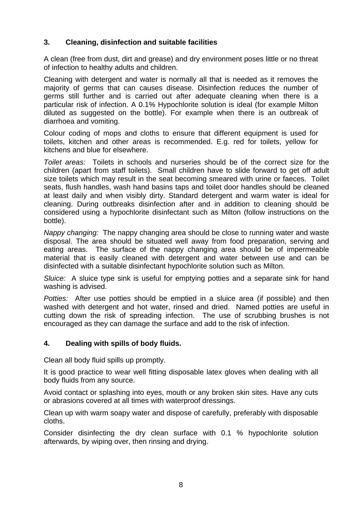# **3. Cleaning, disinfection and suitable facilities**

A clean (free from dust, dirt and grease) and dry environment poses little or no threat of infection to healthy adults and children.

Cleaning with detergent and water is normally all that is needed as it removes the majority of germs that can causes disease. Disinfection reduces the number of germs still further and is carried out after adequate cleaning when there is a particular risk of infection. A 0.1% Hypochlorite solution is ideal (for example Milton diluted as suggested on the bottle). For example when there is an outbreak of diarrhoea and vomiting.

Colour coding of mops and cloths to ensure that different equipment is used for toilets, kitchen and other areas is recommended. E.g. red for toilets, yellow for kitchens and blue for elsewhere.

*Toilet areas:* Toilets in schools and nurseries should be of the correct size for the children (apart from staff toilets). Small children have to slide forward to get off adult size toilets which may result in the seat becoming smeared with urine or faeces. Toilet seats, flush handles, wash hand basins taps and toilet door handles should be cleaned at least daily and when visibly dirty. Standard detergent and warm water is ideal for cleaning. During outbreaks disinfection after and in addition to cleaning should be considered using a hypochlorite disinfectant such as Milton (follow instructions on the bottle).

*Nappy changing:* The nappy changing area should be close to running water and waste disposal. The area should be situated well away from food preparation, serving and eating areas. The surface of the nappy changing area should be of impermeable material that is easily cleaned with detergent and water between use and can be disinfected with a suitable disinfectant hypochlorite solution such as Milton.

*Sluice:* A sluice type sink is useful for emptying potties and a separate sink for hand washing is advised.

*Potties:* After use potties should be emptied in a sluice area (if possible) and then washed with detergent and hot water, rinsed and dried. Named potties are useful in cutting down the risk of spreading infection. The use of scrubbing brushes is not encouraged as they can damage the surface and add to the risk of infection.

# **4. Dealing with spills of body fluids.**

Clean all body fluid spills up promptly.

It is good practice to wear well fitting disposable latex gloves when dealing with all body fluids from any source.

Avoid contact or splashing into eyes, mouth or any broken skin sites. Have any cuts or abrasions covered at all times with waterproof dressings.

Clean up with warm soapy water and dispose of carefully, preferably with disposable cloths.

Consider disinfecting the dry clean surface with 0.1 % hypochlorite solution afterwards, by wiping over, then rinsing and drying.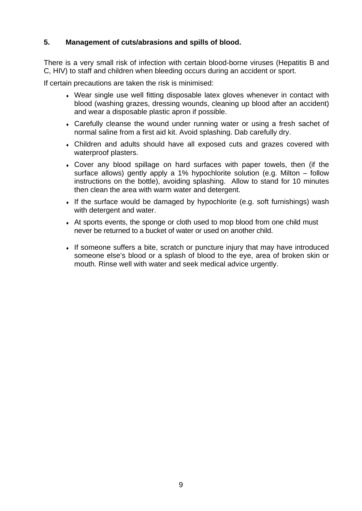# **5. Management of cuts/abrasions and spills of blood.**

There is a very small risk of infection with certain blood-borne viruses (Hepatitis B and C, HIV) to staff and children when bleeding occurs during an accident or sport.

If certain precautions are taken the risk is minimised:

- Wear single use well fitting disposable latex gloves whenever in contact with blood (washing grazes, dressing wounds, cleaning up blood after an accident) and wear a disposable plastic apron if possible.
- Carefully cleanse the wound under running water or using a fresh sachet of normal saline from a first aid kit. Avoid splashing. Dab carefully dry.
- Children and adults should have all exposed cuts and grazes covered with waterproof plasters.
- Cover any blood spillage on hard surfaces with paper towels, then (if the surface allows) gently apply a 1% hypochlorite solution (e.g. Milton – follow instructions on the bottle), avoiding splashing. Allow to stand for 10 minutes then clean the area with warm water and detergent.
- $\bullet$  If the surface would be damaged by hypochlorite (e.g. soft furnishings) wash with detergent and water.
- At sports events, the sponge or cloth used to mop blood from one child must never be returned to a bucket of water or used on another child.
- If someone suffers a bite, scratch or puncture injury that may have introduced someone else's blood or a splash of blood to the eye, area of broken skin or mouth. Rinse well with water and seek medical advice urgently.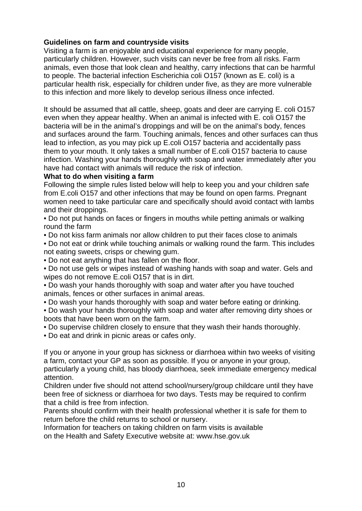### **Guidelines on farm and countryside visits**

Visiting a farm is an enjoyable and educational experience for many people, particularly children. However, such visits can never be free from all risks. Farm animals, even those that look clean and healthy, carry infections that can be harmful to people. The bacterial infection Escherichia coli O157 (known as E. coli) is a particular health risk, especially for children under five, as they are more vulnerable to this infection and more likely to develop serious illness once infected.

It should be assumed that all cattle, sheep, goats and deer are carrying E. coli O157 even when they appear healthy. When an animal is infected with E. coli O157 the bacteria will be in the animal's droppings and will be on the animal's body, fences and surfaces around the farm. Touching animals, fences and other surfaces can thus lead to infection, as you may pick up E.coli O157 bacteria and accidentally pass them to your mouth. It only takes a small number of E.coli O157 bacteria to cause infection. Washing your hands thoroughly with soap and water immediately after you have had contact with animals will reduce the risk of infection.

#### **What to do when visiting a farm**

Following the simple rules listed below will help to keep you and your children safe from E.coli O157 and other infections that may be found on open farms. Pregnant women need to take particular care and specifically should avoid contact with lambs and their droppings.

• Do not put hands on faces or fingers in mouths while petting animals or walking round the farm

• Do not kiss farm animals nor allow children to put their faces close to animals

• Do not eat or drink while touching animals or walking round the farm. This includes not eating sweets, crisps or chewing gum.

• Do not eat anything that has fallen on the floor.

• Do not use gels or wipes instead of washing hands with soap and water. Gels and wipes do not remove E.coli O157 that is in dirt.

• Do wash your hands thoroughly with soap and water after you have touched animals, fences or other surfaces in animal areas.

• Do wash your hands thoroughly with soap and water before eating or drinking.

• Do wash your hands thoroughly with soap and water after removing dirty shoes or boots that have been worn on the farm.

• Do supervise children closely to ensure that they wash their hands thoroughly.

• Do eat and drink in picnic areas or cafes only.

If you or anyone in your group has sickness or diarrhoea within two weeks of visiting a farm, contact your GP as soon as possible. If you or anyone in your group, particularly a young child, has bloody diarrhoea, seek immediate emergency medical attention.

Children under five should not attend school/nursery/group childcare until they have been free of sickness or diarrhoea for two days. Tests may be required to confirm that a child is free from infection.

Parents should confirm with their health professional whether it is safe for them to return before the child returns to school or nursery.

Information for teachers on taking children on farm visits is available on the Health and Safety Executive website at: www.hse.gov.uk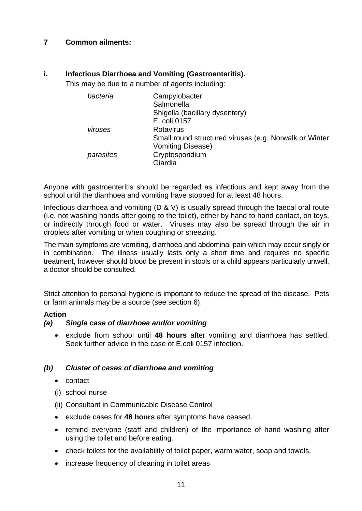# **7 Common ailments:**

### **i. Infectious Diarrhoea and Vomiting (Gastroenteritis).**

This may be due to a number of agents including:

| bacteria  | Campylobacter                                          |
|-----------|--------------------------------------------------------|
|           | Salmonella                                             |
|           | Shigella (bacillary dysentery)                         |
|           | E. coli 0157                                           |
| viruses   | <b>Rotavirus</b>                                       |
|           | Small round structured viruses (e.g. Norwalk or Winter |
|           | <b>Vomiting Disease)</b>                               |
| parasites | Cryptosporidium                                        |
|           | Giardia                                                |

Anyone with gastroenteritis should be regarded as infectious and kept away from the school until the diarrhoea and vomiting have stopped for at least 48 hours.

Infectious diarrhoea and vomiting (D & V) is usually spread through the faecal oral route (i.e. not washing hands after going to the toilet), either by hand to hand contact, on toys, or indirectly through food or water. Viruses may also be spread through the air in droplets after vomiting or when coughing or sneezing.

The main symptoms are vomiting, diarrhoea and abdominal pain which may occur singly or in combination. The illness usually lasts only a short time and requires no specific treatment, however should blood be present in stools or a child appears particularly unwell, a doctor should be consulted.

Strict attention to personal hygiene is important to reduce the spread of the disease. Pets or farm animals may be a source (see section 6).

#### **Action**

#### *(a) Single case of diarrhoea and/or vomiting*

• exclude from school until **48 hours** after vomiting and diarrhoea has settled. Seek further advice in the case of E.coli 0157 infection.

# *(b) Cluster of cases of diarrhoea and vomiting*

- contact
- (i) school nurse
- (ii) Consultant in Communicable Disease Control
- exclude cases for **48 hours** after symptoms have ceased.
- remind everyone (staff and children) of the importance of hand washing after using the toilet and before eating.
- check toilets for the availability of toilet paper, warm water, soap and towels.
- increase frequency of cleaning in toilet areas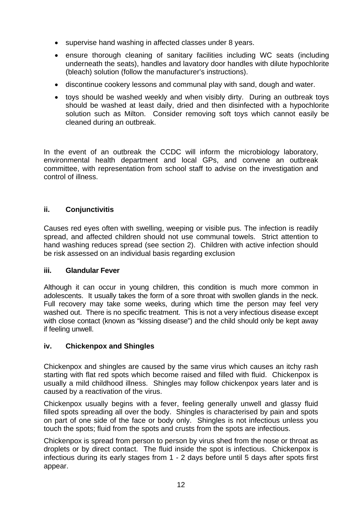- supervise hand washing in affected classes under 8 years.
- ensure thorough cleaning of sanitary facilities including WC seats (including underneath the seats), handles and lavatory door handles with dilute hypochlorite (bleach) solution (follow the manufacturer's instructions).
- discontinue cookery lessons and communal play with sand, dough and water.
- toys should be washed weekly and when visibly dirty. During an outbreak toys should be washed at least daily, dried and then disinfected with a hypochlorite solution such as Milton. Consider removing soft toys which cannot easily be cleaned during an outbreak.

In the event of an outbreak the CCDC will inform the microbiology laboratory, environmental health department and local GPs, and convene an outbreak committee, with representation from school staff to advise on the investigation and control of illness.

# **ii. Conjunctivitis**

Causes red eyes often with swelling, weeping or visible pus. The infection is readily spread, and affected children should not use communal towels. Strict attention to hand washing reduces spread (see section 2). Children with active infection should be risk assessed on an individual basis regarding exclusion

#### **iii. Glandular Fever**

Although it can occur in young children, this condition is much more common in adolescents. It usually takes the form of a sore throat with swollen glands in the neck. Full recovery may take some weeks, during which time the person may feel very washed out. There is no specific treatment. This is not a very infectious disease except with close contact (known as "kissing disease") and the child should only be kept away if feeling unwell.

# **iv. Chickenpox and Shingles**

Chickenpox and shingles are caused by the same virus which causes an itchy rash starting with flat red spots which become raised and filled with fluid. Chickenpox is usually a mild childhood illness. Shingles may follow chickenpox years later and is caused by a reactivation of the virus.

Chickenpox usually begins with a fever, feeling generally unwell and glassy fluid filled spots spreading all over the body. Shingles is characterised by pain and spots on part of one side of the face or body only. Shingles is not infectious unless you touch the spots; fluid from the spots and crusts from the spots are infectious.

Chickenpox is spread from person to person by virus shed from the nose or throat as droplets or by direct contact. The fluid inside the spot is infectious. Chickenpox is infectious during its early stages from 1 - 2 days before until 5 days after spots first appear.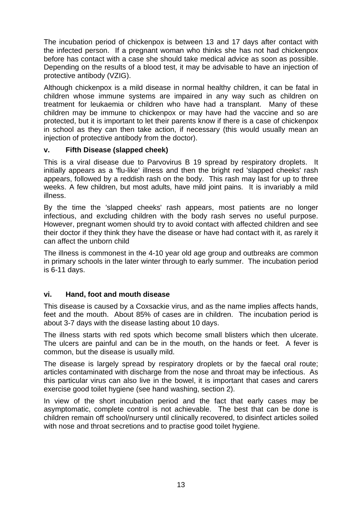The incubation period of chickenpox is between 13 and 17 days after contact with the infected person. If a pregnant woman who thinks she has not had chickenpox before has contact with a case she should take medical advice as soon as possible. Depending on the results of a blood test, it may be advisable to have an injection of protective antibody (VZIG).

Although chickenpox is a mild disease in normal healthy children, it can be fatal in children whose immune systems are impaired in any way such as children on treatment for leukaemia or children who have had a transplant. Many of these children may be immune to chickenpox or may have had the vaccine and so are protected, but it is important to let their parents know if there is a case of chickenpox in school as they can then take action, if necessary (this would usually mean an injection of protective antibody from the doctor).

### **v. Fifth Disease (slapped cheek)**

This is a viral disease due to Parvovirus B 19 spread by respiratory droplets. It initially appears as a 'flu-like' illness and then the bright red 'slapped cheeks' rash appears, followed by a reddish rash on the body. This rash may last for up to three weeks. A few children, but most adults, have mild joint pains. It is invariably a mild illness.

By the time the 'slapped cheeks' rash appears, most patients are no longer infectious, and excluding children with the body rash serves no useful purpose. However, pregnant women should try to avoid contact with affected children and see their doctor if they think they have the disease or have had contact with it, as rarely it can affect the unborn child

The illness is commonest in the 4-10 year old age group and outbreaks are common in primary schools in the later winter through to early summer. The incubation period is 6-11 days.

# **vi. Hand, foot and mouth disease**

This disease is caused by a Coxsackie virus, and as the name implies affects hands, feet and the mouth. About 85% of cases are in children. The incubation period is about 3-7 days with the disease lasting about 10 days.

The illness starts with red spots which become small blisters which then ulcerate. The ulcers are painful and can be in the mouth, on the hands or feet. A fever is common, but the disease is usually mild.

The disease is largely spread by respiratory droplets or by the faecal oral route; articles contaminated with discharge from the nose and throat may be infectious. As this particular virus can also live in the bowel, it is important that cases and carers exercise good toilet hygiene (see hand washing, section 2).

In view of the short incubation period and the fact that early cases may be asymptomatic, complete control is not achievable. The best that can be done is children remain off school/nursery until clinically recovered, to disinfect articles soiled with nose and throat secretions and to practise good toilet hygiene.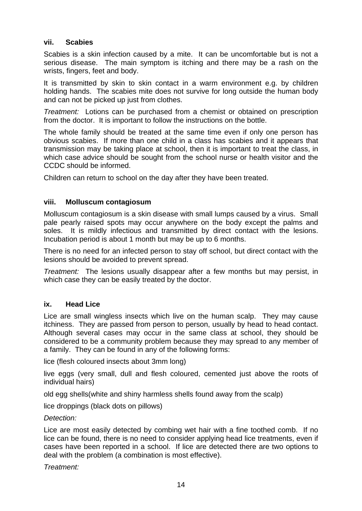### **vii. Scabies**

Scabies is a skin infection caused by a mite. It can be uncomfortable but is not a serious disease. The main symptom is itching and there may be a rash on the wrists, fingers, feet and body.

It is transmitted by skin to skin contact in a warm environment e.g. by children holding hands. The scabies mite does not survive for long outside the human body and can not be picked up just from clothes.

*Treatment:* Lotions can be purchased from a chemist or obtained on prescription from the doctor. It is important to follow the instructions on the bottle.

The whole family should be treated at the same time even if only one person has obvious scabies. If more than one child in a class has scabies and it appears that transmission may be taking place at school, then it is important to treat the class, in which case advice should be sought from the school nurse or health visitor and the CCDC should be informed.

Children can return to school on the day after they have been treated.

### **viii. Molluscum contagiosum**

Molluscum contagiosum is a skin disease with small lumps caused by a virus. Small pale pearly raised spots may occur anywhere on the body except the palms and soles. It is mildly infectious and transmitted by direct contact with the lesions. Incubation period is about 1 month but may be up to 6 months.

There is no need for an infected person to stay off school, but direct contact with the lesions should be avoided to prevent spread.

*Treatment:* The lesions usually disappear after a few months but may persist, in which case they can be easily treated by the doctor.

#### **ix. Head Lice**

Lice are small wingless insects which live on the human scalp. They may cause itchiness. They are passed from person to person, usually by head to head contact. Although several cases may occur in the same class at school, they should be considered to be a community problem because they may spread to any member of a family. They can be found in any of the following forms:

lice (flesh coloured insects about 3mm long)

live eggs (very small, dull and flesh coloured, cemented just above the roots of individual hairs)

old egg shells(white and shiny harmless shells found away from the scalp)

lice droppings (black dots on pillows)

#### *Detection:*

Lice are most easily detected by combing wet hair with a fine toothed comb. If no lice can be found, there is no need to consider applying head lice treatments, even if cases have been reported in a school. If lice are detected there are two options to deal with the problem (a combination is most effective).

*Treatment:*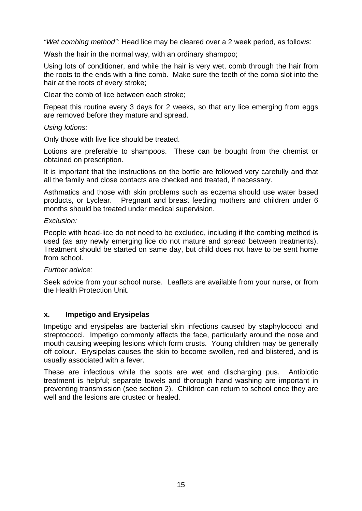*"Wet combing method":* Head lice may be cleared over a 2 week period, as follows:

Wash the hair in the normal way, with an ordinary shampoo;

Using lots of conditioner, and while the hair is very wet, comb through the hair from the roots to the ends with a fine comb. Make sure the teeth of the comb slot into the hair at the roots of every stroke;

Clear the comb of lice between each stroke;

Repeat this routine every 3 days for 2 weeks, so that any lice emerging from eggs are removed before they mature and spread.

#### *Using lotions:*

Only those with live lice should be treated.

Lotions are preferable to shampoos. These can be bought from the chemist or obtained on prescription.

It is important that the instructions on the bottle are followed very carefully and that all the family and close contacts are checked and treated, if necessary.

Asthmatics and those with skin problems such as eczema should use water based products, or Lyclear. Pregnant and breast feeding mothers and children under 6 months should be treated under medical supervision.

#### *Exclusion:*

People with head-lice do not need to be excluded, including if the combing method is used (as any newly emerging lice do not mature and spread between treatments). Treatment should be started on same day, but child does not have to be sent home from school.

#### *Further advice:*

Seek advice from your school nurse. Leaflets are available from your nurse, or from the Health Protection Unit.

#### **x. Impetigo and Erysipelas**

Impetigo and erysipelas are bacterial skin infections caused by staphylococci and streptococci. Impetigo commonly affects the face, particularly around the nose and mouth causing weeping lesions which form crusts. Young children may be generally off colour. Erysipelas causes the skin to become swollen, red and blistered, and is usually associated with a fever.

These are infectious while the spots are wet and discharging pus. Antibiotic treatment is helpful; separate towels and thorough hand washing are important in preventing transmission (see section 2). Children can return to school once they are well and the lesions are crusted or healed.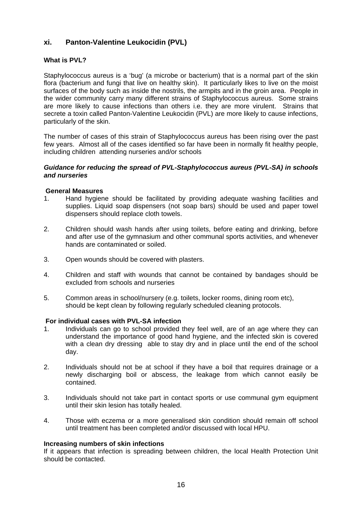### **xi. Panton-Valentine Leukocidin (PVL)**

#### **What is PVL?**

Staphylococcus aureus is a 'bug' (a microbe or bacterium) that is a normal part of the skin flora (bacterium and fungi that live on healthy skin). It particularly likes to live on the moist surfaces of the body such as inside the nostrils, the armpits and in the groin area. People in the wider community carry many different strains of Staphylococcus aureus. Some strains are more likely to cause infections than others i.e. they are more virulent. Strains that secrete a toxin called Panton-Valentine Leukocidin (PVL) are more likely to cause infections, particularly of the skin.

The number of cases of this strain of Staphylococcus aureus has been rising over the past few years. Almost all of the cases identified so far have been in normally fit healthy people, including children attending nurseries and/or schools

#### *Guidance for reducing the spread of PVL-Staphylococcus aureus (PVL-SA) in schools and nurseries*

#### **General Measures**

- 1. Hand hygiene should be facilitated by providing adequate washing facilities and supplies. Liquid soap dispensers (not soap bars) should be used and paper towel dispensers should replace cloth towels.
- 2. Children should wash hands after using toilets, before eating and drinking, before and after use of the gymnasium and other communal sports activities, and whenever hands are contaminated or soiled.
- 3. Open wounds should be covered with plasters.
- 4. Children and staff with wounds that cannot be contained by bandages should be excluded from schools and nurseries
- 5. Common areas in school/nursery (e.g. toilets, locker rooms, dining room etc), should be kept clean by following regularly scheduled cleaning protocols.

#### **For individual cases with PVL-SA infection**

- 1. Individuals can go to school provided they feel well, are of an age where they can understand the importance of good hand hygiene, and the infected skin is covered with a clean dry dressing able to stay dry and in place until the end of the school day.
- 2. Individuals should not be at school if they have a boil that requires drainage or a newly discharging boil or abscess, the leakage from which cannot easily be contained.
- 3. Individuals should not take part in contact sports or use communal gym equipment until their skin lesion has totally healed.
- 4. Those with eczema or a more generalised skin condition should remain off school until treatment has been completed and/or discussed with local HPU.

#### **Increasing numbers of skin infections**

If it appears that infection is spreading between children, the local Health Protection Unit should be contacted.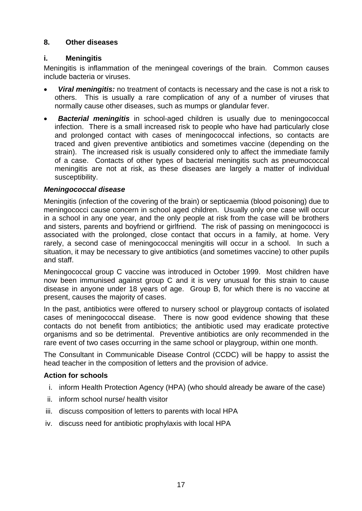# **8. Other diseases**

### **i. Meningitis**

Meningitis is inflammation of the meningeal coverings of the brain. Common causes include bacteria or viruses.

- *Viral meningitis:* no treatment of contacts is necessary and the case is not a risk to others. This is usually a rare complication of any of a number of viruses that normally cause other diseases, such as mumps or glandular fever.
- *Bacterial meningitis* in school-aged children is usually due to meningococcal infection. There is a small increased risk to people who have had particularly close and prolonged contact with cases of meningococcal infections, so contacts are traced and given preventive antibiotics and sometimes vaccine (depending on the strain). The increased risk is usually considered only to affect the immediate family of a case. Contacts of other types of bacterial meningitis such as pneumococcal meningitis are not at risk, as these diseases are largely a matter of individual susceptibility.

### *Meningococcal disease*

Meningitis (infection of the covering of the brain) or septicaemia (blood poisoning) due to meningococci cause concern in school aged children. Usually only one case will occur in a school in any one year, and the only people at risk from the case will be brothers and sisters, parents and boyfriend or girlfriend. The risk of passing on meningococci is associated with the prolonged, close contact that occurs in a family, at home. Very rarely, a second case of meningococcal meningitis will occur in a school. In such a situation, it may be necessary to give antibiotics (and sometimes vaccine) to other pupils and staff.

Meningococcal group C vaccine was introduced in October 1999. Most children have now been immunised against group C and it is very unusual for this strain to cause disease in anyone under 18 years of age. Group B, for which there is no vaccine at present, causes the majority of cases.

In the past, antibiotics were offered to nursery school or playgroup contacts of isolated cases of meningococcal disease. There is now good evidence showing that these contacts do not benefit from antibiotics; the antibiotic used may eradicate protective organisms and so be detrimental. Preventive antibiotics are only recommended in the rare event of two cases occurring in the same school or playgroup, within one month.

The Consultant in Communicable Disease Control (CCDC) will be happy to assist the head teacher in the composition of letters and the provision of advice.

# **Action for schools**

- i. inform Health Protection Agency (HPA) (who should already be aware of the case)
- ii. inform school nurse/ health visitor
- iii. discuss composition of letters to parents with local HPA
- iv. discuss need for antibiotic prophylaxis with local HPA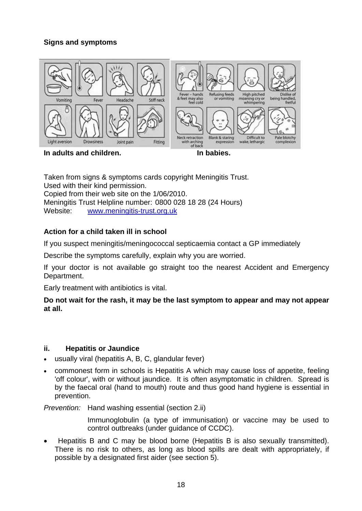# **Signs and symptoms**



In adults and children. **In adults and children**.

Taken from signs & symptoms cards copyright Meningitis Trust. Used with their kind permission. Copied from their web site on the 1/06/2010. Meningitis Trust Helpline number: 0800 028 18 28 (24 Hours) Website: www.meningitis-trust.org.uk

# **Action for a child taken ill in school**

If you suspect meningitis/meningococcal septicaemia contact a GP immediately

Describe the symptoms carefully, explain why you are worried.

If your doctor is not available go straight too the nearest Accident and Emergency Department.

Early treatment with antibiotics is vital.

**Do not wait for the rash, it may be the last symptom to appear and may not appear at all.** 

# **ii. Hepatitis or Jaundice**

- usually viral (hepatitis A, B, C, glandular fever)
- commonest form in schools is Hepatitis A which may cause loss of appetite, feeling 'off colour', with or without jaundice. It is often asymptomatic in children. Spread is by the faecal oral (hand to mouth) route and thus good hand hygiene is essential in prevention.

*Prevention:* Hand washing essential (section 2.ii)

Immunoglobulin (a type of immunisation) or vaccine may be used to control outbreaks (under guidance of CCDC).

• Hepatitis B and C may be blood borne (Hepatitis B is also sexually transmitted). There is no risk to others, as long as blood spills are dealt with appropriately, if possible by a designated first aider (see section 5).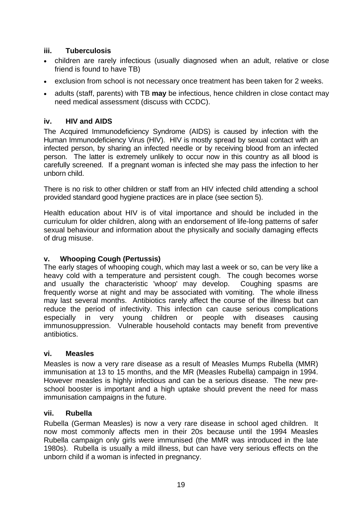# **iii. Tuberculosis**

- children are rarely infectious (usually diagnosed when an adult, relative or close friend is found to have TB)
- exclusion from school is not necessary once treatment has been taken for 2 weeks.
- adults (staff, parents) with TB **may** be infectious, hence children in close contact may need medical assessment (discuss with CCDC).

### **iv. HIV and AIDS**

The Acquired Immunodeficiency Syndrome (AIDS) is caused by infection with the Human Immunodeficiency Virus (HIV). HIV is mostly spread by sexual contact with an infected person, by sharing an infected needle or by receiving blood from an infected person. The latter is extremely unlikely to occur now in this country as all blood is carefully screened. If a pregnant woman is infected she may pass the infection to her unborn child.

There is no risk to other children or staff from an HIV infected child attending a school provided standard good hygiene practices are in place (see section 5).

Health education about HIV is of vital importance and should be included in the curriculum for older children, along with an endorsement of life-long patterns of safer sexual behaviour and information about the physically and socially damaging effects of drug misuse.

### **v. Whooping Cough (Pertussis)**

The early stages of whooping cough, which may last a week or so, can be very like a heavy cold with a temperature and persistent cough. The cough becomes worse and usually the characteristic 'whoop' may develop. Coughing spasms are frequently worse at night and may be associated with vomiting. The whole illness may last several months. Antibiotics rarely affect the course of the illness but can reduce the period of infectivity. This infection can cause serious complications especially in very young children or people with diseases causing immunosuppression. Vulnerable household contacts may benefit from preventive antibiotics.

#### **vi. Measles**

Measles is now a very rare disease as a result of Measles Mumps Rubella (MMR) immunisation at 13 to 15 months, and the MR (Measles Rubella) campaign in 1994. However measles is highly infectious and can be a serious disease. The new preschool booster is important and a high uptake should prevent the need for mass immunisation campaigns in the future.

#### **vii. Rubella**

Rubella (German Measles) is now a very rare disease in school aged children. It now most commonly affects men in their 20s because until the 1994 Measles Rubella campaign only girls were immunised (the MMR was introduced in the late 1980s). Rubella is usually a mild illness, but can have very serious effects on the unborn child if a woman is infected in pregnancy.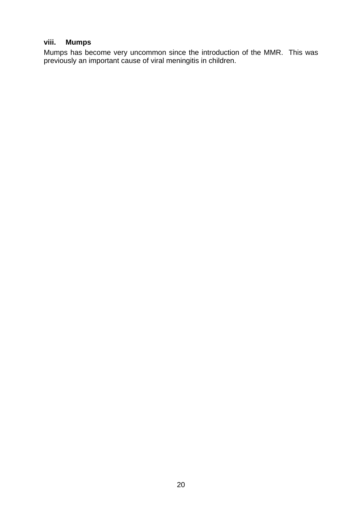# **viii. Mumps**

Mumps has become very uncommon since the introduction of the MMR. This was previously an important cause of viral meningitis in children.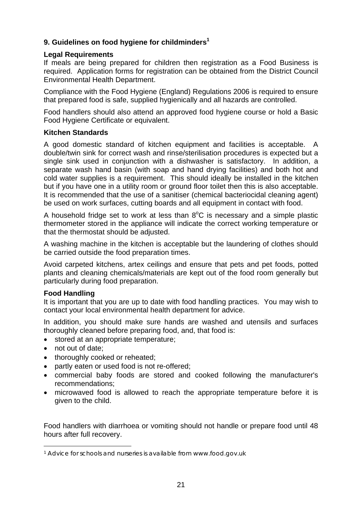# **9. Guidelines on food hygiene for childminders1**

### **Legal Requirements**

If meals are being prepared for children then registration as a Food Business is required. Application forms for registration can be obtained from the District Council Environmental Health Department.

Compliance with the Food Hygiene (England) Regulations 2006 is required to ensure that prepared food is safe, supplied hygienically and all hazards are controlled.

Food handlers should also attend an approved food hygiene course or hold a Basic Food Hygiene Certificate or equivalent.

#### **Kitchen Standards**

A good domestic standard of kitchen equipment and facilities is acceptable. A double/twin sink for correct wash and rinse/sterilisation procedures is expected but a single sink used in conjunction with a dishwasher is satisfactory. In addition, a separate wash hand basin (with soap and hand drying facilities) and both hot and cold water supplies is a requirement. This should ideally be installed in the kitchen but if you have one in a utility room or ground floor toilet then this is also acceptable. It is recommended that the use of a sanitiser (chemical bacteriocidal cleaning agent) be used on work surfaces, cutting boards and all equipment in contact with food.

A household fridge set to work at less than  $8^{\circ}$ C is necessary and a simple plastic thermometer stored in the appliance will indicate the correct working temperature or that the thermostat should be adjusted.

A washing machine in the kitchen is acceptable but the laundering of clothes should be carried outside the food preparation times.

Avoid carpeted kitchens, artex ceilings and ensure that pets and pet foods, potted plants and cleaning chemicals/materials are kept out of the food room generally but particularly during food preparation.

#### **Food Handling**

It is important that you are up to date with food handling practices. You may wish to contact your local environmental health department for advice.

In addition, you should make sure hands are washed and utensils and surfaces thoroughly cleaned before preparing food, and, that food is:

- stored at an appropriate temperature;
- not out of date;

1

- thoroughly cooked or reheated;
- partly eaten or used food is not re-offered;
- commercial baby foods are stored and cooked following the manufacturer's recommendations;
- microwaved food is allowed to reach the appropriate temperature before it is given to the child.

Food handlers with diarrhoea or vomiting should not handle or prepare food until 48 hours after full recovery.

<sup>1</sup> Advice for schools and nurseries is available from www.food.gov.uk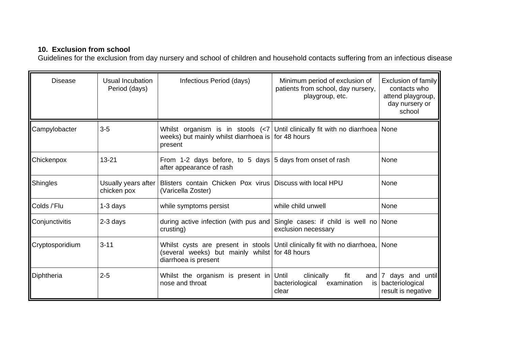# **10. Exclusion from school**

Guidelines for the exclusion from day nursery and school of children and household contacts suffering from an infectious disease

| <b>Disease</b>  | Usual Incubation<br>Period (days)  | Infectious Period (days)                                                                                                                                               | Minimum period of exclusion of<br>patients from school, day nursery,<br>playgroup, etc. | Exclusion of family<br>contacts who<br>attend playgroup,<br>day nursery or<br>school |
|-----------------|------------------------------------|------------------------------------------------------------------------------------------------------------------------------------------------------------------------|-----------------------------------------------------------------------------------------|--------------------------------------------------------------------------------------|
| Campylobacter   | $3-5$                              | Whilst organism is in stools $\left  \langle 7   \right $ Until clinically fit with no diarrhoea None<br>weeks) but mainly whilst diarrhoea is for 48 hours<br>present |                                                                                         |                                                                                      |
| Chickenpox      | $13 - 21$                          | From 1-2 days before, to 5 days $ 5$ days from onset of rash<br>after appearance of rash                                                                               |                                                                                         | None                                                                                 |
| Shingles        | Usually years after<br>chicken pox | Blisters contain Chicken Pox virus   Discuss with local HPU<br>(Varicella Zoster)                                                                                      |                                                                                         | None                                                                                 |
| Colds /'Flu     | $1-3$ days                         | while symptoms persist                                                                                                                                                 | while child unwell                                                                      | None                                                                                 |
| Conjunctivitis  | 2-3 days                           | during active infection (with pus and Single cases: if child is well no None<br>crusting)                                                                              | exclusion necessary                                                                     |                                                                                      |
| Cryptosporidium | $3 - 11$                           | Whilst cysts are present in stools Until clinically fit with no diarrhoea,<br>(several weeks) but mainly whilst for 48 hours<br>diarrhoea is present                   |                                                                                         | <b>None</b>                                                                          |
| Diphtheria      | $2 - 5$                            | Whilst the organism is present in<br>nose and throat                                                                                                                   | fit<br>Until<br>clinically<br>and<br>bacteriological<br>examination<br>is<br>clear      | days and until<br>7<br>bacteriological<br>result is negative                         |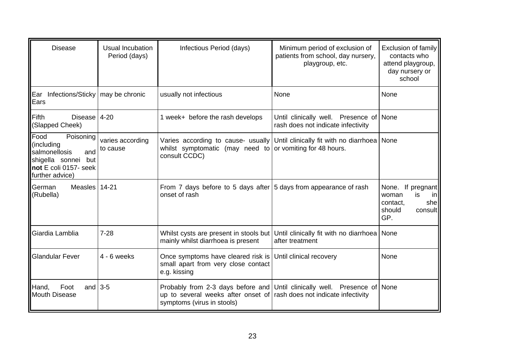| <b>Disease</b>                                                                                                                         | Usual Incubation<br>Period (days) | Infectious Period (days)                                                                                                                                                         | Minimum period of exclusion of<br>patients from school, day nursery,<br>playgroup, etc. | Exclusion of family<br>contacts who<br>attend playgroup,<br>day nursery or<br>school                 |
|----------------------------------------------------------------------------------------------------------------------------------------|-----------------------------------|----------------------------------------------------------------------------------------------------------------------------------------------------------------------------------|-----------------------------------------------------------------------------------------|------------------------------------------------------------------------------------------------------|
| Ear Infections/Sticky   may be chronic<br>Ears                                                                                         |                                   | usually not infectious                                                                                                                                                           | None                                                                                    | None                                                                                                 |
| Fifth<br>Disease 4-20<br>(Slapped Cheek)                                                                                               |                                   | 1 week+ before the rash develops                                                                                                                                                 | Until clinically well. Presence of<br>rash does not indicate infectivity                | None                                                                                                 |
| <b>IFood</b><br>Poisoning<br>(including<br>salmonellosis<br>and<br>shigella sonnei<br>but<br>Inot E coli 0157- seek<br>further advice) | varies according<br>to cause      | Varies according to cause- usually Until clinically fit with no diarrhoea<br>whilst symptomatic (may need to or vomiting for 48 hours.<br>consult CCDC)                          |                                                                                         | None                                                                                                 |
| Measles 14-21<br><b>German</b><br>(Rubella)                                                                                            |                                   | From 7 days before to 5 days after $ 5$ days from appearance of rash<br>onset of rash                                                                                            |                                                                                         | If pregnant<br>None.<br>woman<br>is.<br><sub>in</sub><br>she<br>contact.<br>should<br>consult<br>GP. |
| Giardia Lamblia                                                                                                                        | $7 - 28$                          | Whilst cysts are present in stools but<br>mainly whilst diarrhoea is present                                                                                                     | Until clinically fit with no diarrhoea<br>after treatment                               | None                                                                                                 |
| <b>Glandular Fever</b>                                                                                                                 | $4 - 6$ weeks                     | Once symptoms have cleared risk is Until clinical recovery<br>small apart from very close contact<br>e.g. kissing                                                                |                                                                                         | None                                                                                                 |
| Foot<br>Hand,<br>and<br>Mouth Disease                                                                                                  | $3-5$                             | Probably from 2-3 days before and Until clinically well. Presence of None<br>up to several weeks after onset of rash does not indicate infectivity<br>symptoms (virus in stools) |                                                                                         |                                                                                                      |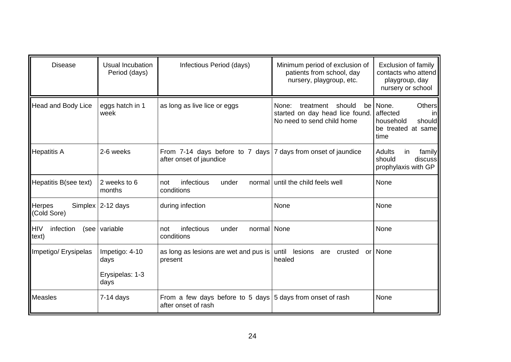| <b>Disease</b>                           | Usual Incubation<br>Period (days)                 | Infectious Period (days)                                                                   | Minimum period of exclusion of<br>patients from school, day<br>nursery, playgroup, etc.             | Exclusion of family<br>contacts who attend<br>playgroup, day<br>nursery or school                                  |
|------------------------------------------|---------------------------------------------------|--------------------------------------------------------------------------------------------|-----------------------------------------------------------------------------------------------------|--------------------------------------------------------------------------------------------------------------------|
| <b>Head and Body Lice</b>                | eggs hatch in 1<br>week                           | as long as live lice or eggs                                                               | None:<br>should<br>treatment<br>be<br>started on day head lice found.<br>No need to send child home | <b>Others</b><br>None.<br>affected<br>$\overline{\mathsf{I}}$<br>household<br>should<br>be treated at same<br>time |
| <b>Hepatitis A</b>                       | 2-6 weeks                                         | From 7-14 days before to 7 days   7 days from onset of jaundice<br>after onset of jaundice |                                                                                                     | Adults<br>family<br>in.<br>should<br>discuss<br>prophylaxis with GP                                                |
| Hepatitis B(see text)                    | 2 weeks to 6<br>months                            | infectious<br>under<br>not<br>normal<br>conditions                                         | until the child feels well                                                                          | None                                                                                                               |
| <b>Herpes</b><br>(Cold Sore)             | Simplex $ 2-12$ days                              | during infection                                                                           | None                                                                                                | None                                                                                                               |
| <b>HIV</b><br>infection<br>(see<br>text) | variable                                          | infectious<br>normal None<br>under<br>not<br>conditions                                    |                                                                                                     | None                                                                                                               |
| Impetigo/ Erysipelas                     | Impetigo: 4-10<br>days<br>Erysipelas: 1-3<br>days | as long as lesions are wet and pus is<br>present                                           | until<br>lesions<br>are crusted<br>or<br>healed                                                     | None                                                                                                               |
| <b>Measles</b>                           | $7-14$ days                                       | From a few days before to 5 days $ 5$ days from onset of rash<br>after onset of rash       |                                                                                                     | None                                                                                                               |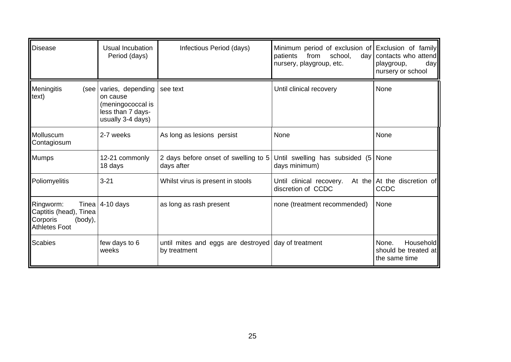| <b>Disease</b>                                                                              | Usual Incubation<br>Period (days)                                                            | Infectious Period (days)                                            | Minimum period of exclusion of Exclusion of family<br>patients<br>school,<br>from<br>nursery, playgroup, etc. | day contacts who attend<br>playgroup,<br>day<br>nursery or school  |
|---------------------------------------------------------------------------------------------|----------------------------------------------------------------------------------------------|---------------------------------------------------------------------|---------------------------------------------------------------------------------------------------------------|--------------------------------------------------------------------|
| Meningitis<br>(see<br>text)                                                                 | varies, depending<br>on cause<br>(meningococcal is<br>less than 7 days-<br>usually 3-4 days) | see text                                                            | Until clinical recovery                                                                                       | None                                                               |
| Molluscum<br>Contagiosum                                                                    | 2-7 weeks                                                                                    | As long as lesions persist                                          | None                                                                                                          | None                                                               |
| <b>Mumps</b>                                                                                | 12-21 commonly<br>18 days                                                                    | 2 days before onset of swelling to 5<br>days after                  | Until swelling has subsided (5 None<br>days minimum)                                                          |                                                                    |
| Poliomyelitis                                                                               | $3 - 21$                                                                                     | Whilst virus is present in stools                                   | Until clinical recovery.<br>discretion of CCDC                                                                | At the At the discretion of<br>CCDC                                |
| Tinea<br>Ringworm:<br>Captitis (head), Tinea<br>Corporis<br>(body),<br><b>Athletes Foot</b> | $4-10$ days                                                                                  | as long as rash present                                             | none (treatment recommended)                                                                                  | None                                                               |
| <b>Scabies</b>                                                                              | few days to 6<br>weeks                                                                       | until mites and eggs are destroyed day of treatment<br>by treatment |                                                                                                               | None.<br><b>Household</b><br>should be treated at<br>the same time |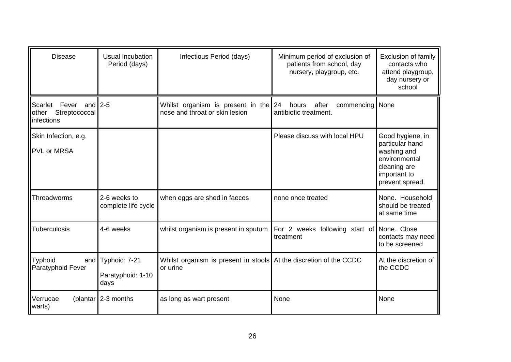| <b>Disease</b>                                                | Usual Incubation<br>Period (days)              | Infectious Period (days)                                                       | Minimum period of exclusion of<br>patients from school, day<br>nursery, playgroup, etc. | <b>Exclusion of family</b><br>contacts who<br>attend playgroup,<br>day nursery or<br>school                            |
|---------------------------------------------------------------|------------------------------------------------|--------------------------------------------------------------------------------|-----------------------------------------------------------------------------------------|------------------------------------------------------------------------------------------------------------------------|
| Scarlet Fever and 2-5<br>Streptococcal<br>other<br>infections |                                                | Whilst organism is present in the<br>nose and throat or skin lesion            | 24<br>after<br>commencing   None<br>hours<br>antibiotic treatment.                      |                                                                                                                        |
| Skin Infection, e.g.<br><b>PVL or MRSA</b>                    |                                                |                                                                                | Please discuss with local HPU                                                           | Good hygiene, in<br>particular hand<br>washing and<br>environmental<br>cleaning are<br>important to<br>prevent spread. |
| Threadworms                                                   | 2-6 weeks to<br>complete life cycle            | when eggs are shed in faeces                                                   | none once treated                                                                       | None. Household<br>should be treated<br>at same time                                                                   |
| Tuberculosis                                                  | 4-6 weeks                                      | whilst organism is present in sputum                                           | For 2 weeks following start of None. Close<br>treatment                                 | contacts may need<br>to be screened                                                                                    |
| <b>Typhoid</b><br>Paratyphoid Fever                           | and Typhoid: 7-21<br>Paratyphoid: 1-10<br>days | Whilst organism is present in stools At the discretion of the CCDC<br>or urine |                                                                                         | At the discretion of<br>the CCDC                                                                                       |
| Verrucae<br>warts)                                            | (plantar 2-3 months                            | as long as wart present                                                        | None                                                                                    | None                                                                                                                   |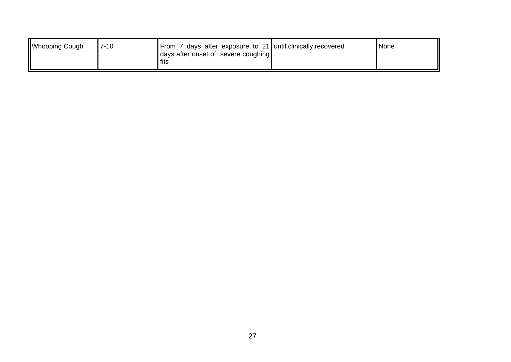| <b>Whooping Cough</b> | $7 - 10$ | From 7 days after exposure to 21 until clinically recovered<br>days after onset of severe coughing<br>fits | <i>None</i> |
|-----------------------|----------|------------------------------------------------------------------------------------------------------------|-------------|
|                       |          |                                                                                                            |             |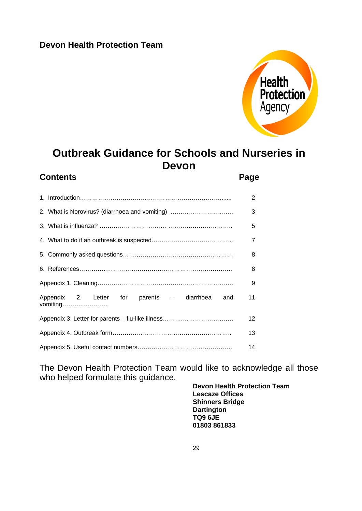# **Devon Health Protection Team**



# **Outbreak Guidance for Schools and Nurseries in Devon**

# **Contents** Page **Page**

|                                                               | $\mathcal{P}$  |
|---------------------------------------------------------------|----------------|
| 2. What is Norovirus? (diarrhoea and vomiting)                | 3              |
|                                                               | 5              |
|                                                               | $\overline{7}$ |
|                                                               | 8              |
|                                                               | 8              |
|                                                               | 9              |
| Appendix 2. Letter for parents - diarrhoea<br>and<br>vomiting | 11             |
|                                                               | 12             |
|                                                               | 13             |
|                                                               | 14             |

The Devon Health Protection Team would like to acknowledge all those who helped formulate this guidance.

**Devon Health Protection Team Lescaze Offices Shinners Bridge Dartington TQ9 6JE 01803 861833**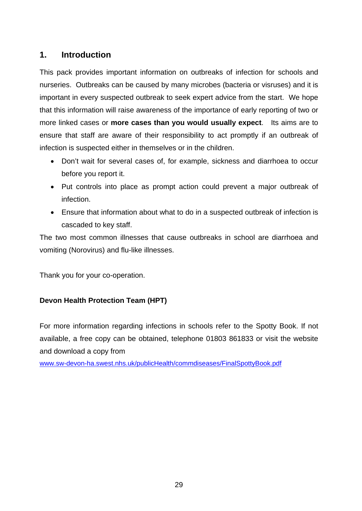# **1. Introduction**

This pack provides important information on outbreaks of infection for schools and nurseries. Outbreaks can be caused by many microbes (bacteria or visruses) and it is important in every suspected outbreak to seek expert advice from the start. We hope that this information will raise awareness of the importance of early reporting of two or more linked cases or **more cases than you would usually expect**. Its aims are to ensure that staff are aware of their responsibility to act promptly if an outbreak of infection is suspected either in themselves or in the children.

- Don't wait for several cases of, for example, sickness and diarrhoea to occur before you report it.
- Put controls into place as prompt action could prevent a major outbreak of infection.
- Ensure that information about what to do in a suspected outbreak of infection is cascaded to key staff.

The two most common illnesses that cause outbreaks in school are diarrhoea and vomiting (Norovirus) and flu-like illnesses.

Thank you for your co-operation.

# **Devon Health Protection Team (HPT)**

For more information regarding infections in schools refer to the Spotty Book. If not available, a free copy can be obtained, telephone 01803 861833 or visit the website and download a copy from

www.sw-devon-ha.swest.nhs.uk/publicHealth/commdiseases/FinalSpottyBook.pdf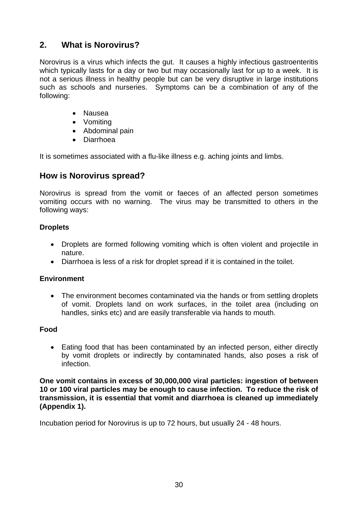# **2. What is Norovirus?**

Norovirus is a virus which infects the gut. It causes a highly infectious gastroenteritis which typically lasts for a day or two but may occasionally last for up to a week. It is not a serious illness in healthy people but can be very disruptive in large institutions such as schools and nurseries. Symptoms can be a combination of any of the following:

- Nausea
- Vomiting
- Abdominal pain
- Diarrhoea

It is sometimes associated with a flu-like illness e.g. aching joints and limbs.

# **How is Norovirus spread?**

Norovirus is spread from the vomit or faeces of an affected person sometimes vomiting occurs with no warning. The virus may be transmitted to others in the following ways:

# **Droplets**

- Droplets are formed following vomiting which is often violent and projectile in nature.
- Diarrhoea is less of a risk for droplet spread if it is contained in the toilet.

# **Environment**

• The environment becomes contaminated via the hands or from settling droplets of vomit. Droplets land on work surfaces, in the toilet area (including on handles, sinks etc) and are easily transferable via hands to mouth.

# **Food**

• Eating food that has been contaminated by an infected person, either directly by vomit droplets or indirectly by contaminated hands, also poses a risk of infection.

**One vomit contains in excess of 30,000,000 viral particles: ingestion of between 10 or 100 viral particles may be enough to cause infection. To reduce the risk of transmission, it is essential that vomit and diarrhoea is cleaned up immediately (Appendix 1).** 

Incubation period for Norovirus is up to 72 hours, but usually 24 - 48 hours.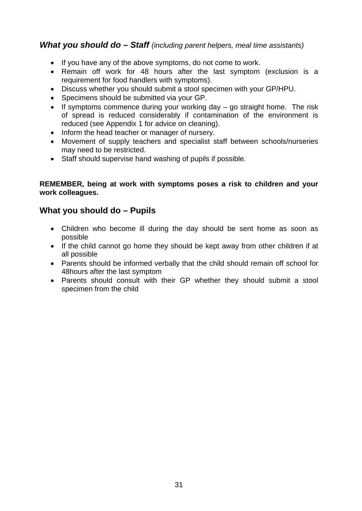# *What you should do – Staff (including parent helpers, meal time assistants)*

- If you have any of the above symptoms, do not come to work.
- Remain off work for 48 hours after the last symptom (exclusion is a requirement for food handlers with symptoms).
- Discuss whether you should submit a stool specimen with your GP/HPU.
- Specimens should be submitted via your GP.
- If symptoms commence during your working day go straight home. The risk of spread is reduced considerably if contamination of the environment is reduced (see Appendix 1 for advice on cleaning).
- Inform the head teacher or manager of nursery.
- Movement of supply teachers and specialist staff between schools/nurseries may need to be restricted.
- Staff should supervise hand washing of pupils if possible.

### **REMEMBER, being at work with symptoms poses a risk to children and your work colleagues.**

# **What you should do – Pupils**

- Children who become ill during the day should be sent home as soon as possible
- If the child cannot go home they should be kept away from other children if at all possible
- Parents should be informed verbally that the child should remain off school for 48hours after the last symptom
- Parents should consult with their GP whether they should submit a stool specimen from the child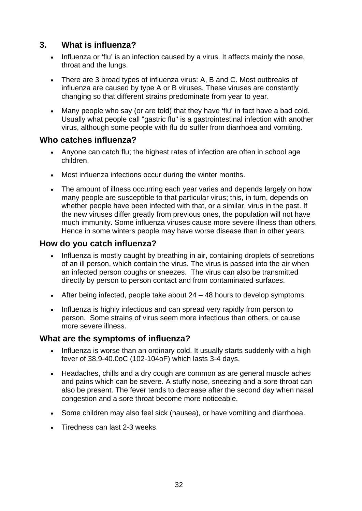# **3. What is influenza?**

- Influenza or 'flu' is an infection caused by a virus. It affects mainly the nose, throat and the lungs.
- There are 3 broad types of influenza virus: A, B and C. Most outbreaks of influenza are caused by type A or B viruses. These viruses are constantly changing so that different strains predominate from year to year.
- Many people who say (or are told) that they have 'flu' in fact have a bad cold. Usually what people call "gastric flu" is a gastrointestinal infection with another virus, although some people with flu do suffer from diarrhoea and vomiting.

# **Who catches influenza?**

- Anyone can catch flu: the highest rates of infection are often in school age children.
- Most influenza infections occur during the winter months.
- The amount of illness occurring each year varies and depends largely on how many people are susceptible to that particular virus; this, in turn, depends on whether people have been infected with that, or a similar, virus in the past. If the new viruses differ greatly from previous ones, the population will not have much immunity. Some influenza viruses cause more severe illness than others. Hence in some winters people may have worse disease than in other years.

# **How do you catch influenza?**

- Influenza is mostly caught by breathing in air, containing droplets of secretions of an ill person, which contain the virus. The virus is passed into the air when an infected person coughs or sneezes. The virus can also be transmitted directly by person to person contact and from contaminated surfaces.
- After being infected, people take about 24 48 hours to develop symptoms.
- Influenza is highly infectious and can spread very rapidly from person to person. Some strains of virus seem more infectious than others, or cause more severe illness.

# **What are the symptoms of influenza?**

- Influenza is worse than an ordinary cold. It usually starts suddenly with a high fever of 38.9-40.0oC (102-104oF) which lasts 3-4 days.
- Headaches, chills and a dry cough are common as are general muscle aches and pains which can be severe. A stuffy nose, sneezing and a sore throat can also be present. The fever tends to decrease after the second day when nasal congestion and a sore throat become more noticeable.
- Some children may also feel sick (nausea), or have vomiting and diarrhoea.
- Tiredness can last 2-3 weeks.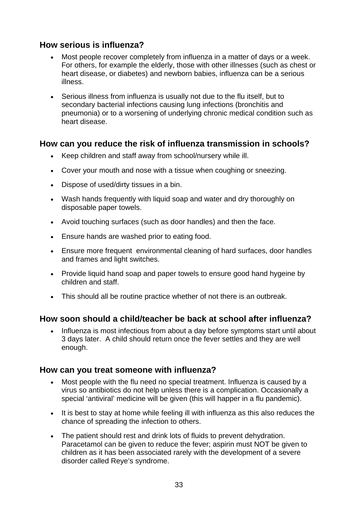# **How serious is influenza?**

- Most people recover completely from influenza in a matter of days or a week. For others, for example the elderly, those with other illnesses (such as chest or heart disease, or diabetes) and newborn babies, influenza can be a serious illness.
- Serious illness from influenza is usually not due to the flu itself, but to secondary bacterial infections causing lung infections (bronchitis and pneumonia) or to a worsening of underlying chronic medical condition such as heart disease.

# **How can you reduce the risk of influenza transmission in schools?**

- Keep children and staff away from school/nursery while ill.
- Cover your mouth and nose with a tissue when coughing or sneezing.
- Dispose of used/dirty tissues in a bin.
- Wash hands frequently with liquid soap and water and dry thoroughly on disposable paper towels.
- Avoid touching surfaces (such as door handles) and then the face.
- Ensure hands are washed prior to eating food.
- Ensure more frequent environmental cleaning of hard surfaces, door handles and frames and light switches.
- Provide liquid hand soap and paper towels to ensure good hand hygeine by children and staff.
- This should all be routine practice whether of not there is an outbreak.

# **How soon should a child/teacher be back at school after influenza?**

• Influenza is most infectious from about a day before symptoms start until about 3 days later. A child should return once the fever settles and they are well enough.

# **How can you treat someone with influenza?**

- Most people with the flu need no special treatment. Influenza is caused by a virus so antibiotics do not help unless there is a complication. Occasionally a special 'antiviral' medicine will be given (this will happer in a flu pandemic).
- It is best to stay at home while feeling ill with influenza as this also reduces the chance of spreading the infection to others.
- The patient should rest and drink lots of fluids to prevent dehydration. Paracetamol can be given to reduce the fever; aspirin must NOT be given to children as it has been associated rarely with the development of a severe disorder called Reye's syndrome.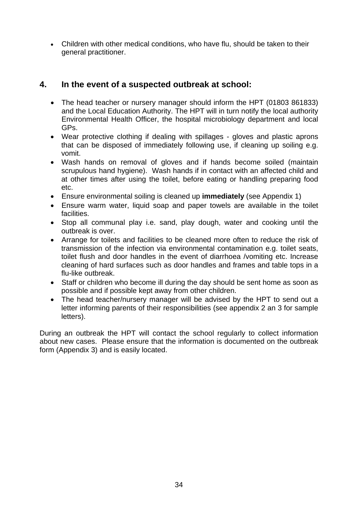• Children with other medical conditions, who have flu, should be taken to their general practitioner.

# **4. In the event of a suspected outbreak at school:**

- The head teacher or nursery manager should inform the HPT (01803 861833) and the Local Education Authority. The HPT will in turn notify the local authority Environmental Health Officer, the hospital microbiology department and local GPs.
- Wear protective clothing if dealing with spillages gloves and plastic aprons that can be disposed of immediately following use, if cleaning up soiling e.g. vomit.
- Wash hands on removal of gloves and if hands become soiled (maintain scrupulous hand hygiene). Wash hands if in contact with an affected child and at other times after using the toilet, before eating or handling preparing food etc.
- Ensure environmental soiling is cleaned up **immediately** (see Appendix 1)
- Ensure warm water, liquid soap and paper towels are available in the toilet facilities.
- Stop all communal play i.e. sand, play dough, water and cooking until the outbreak is over.
- Arrange for toilets and facilities to be cleaned more often to reduce the risk of transmission of the infection via environmental contamination e.g. toilet seats, toilet flush and door handles in the event of diarrhoea /vomiting etc. Increase cleaning of hard surfaces such as door handles and frames and table tops in a flu-like outbreak.
- Staff or children who become ill during the day should be sent home as soon as possible and if possible kept away from other children.
- The head teacher/nursery manager will be advised by the HPT to send out a letter informing parents of their responsibilities (see appendix 2 an 3 for sample letters).

During an outbreak the HPT will contact the school regularly to collect information about new cases. Please ensure that the information is documented on the outbreak form (Appendix 3) and is easily located.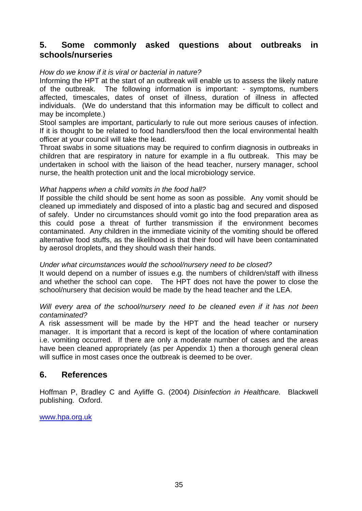# **5. Some commonly asked questions about outbreaks in schools/nurseries**

### *How do we know if it is viral or bacterial in nature?*

Informing the HPT at the start of an outbreak will enable us to assess the likely nature of the outbreak. The following information is important: - symptoms, numbers affected, timescales, dates of onset of illness, duration of illness in affected individuals. (We do understand that this information may be difficult to collect and may be incomplete.)

Stool samples are important, particularly to rule out more serious causes of infection. If it is thought to be related to food handlers/food then the local environmental health officer at your council will take the lead.

Throat swabs in some situations may be required to confirm diagnosis in outbreaks in children that are respiratory in nature for example in a flu outbreak. This may be undertaken in school with the liaison of the head teacher, nursery manager, school nurse, the health protection unit and the local microbiology service.

### *What happens when a child vomits in the food hall?*

If possible the child should be sent home as soon as possible. Any vomit should be cleaned up immediately and disposed of into a plastic bag and secured and disposed of safely. Under no circumstances should vomit go into the food preparation area as this could pose a threat of further transmission if the environment becomes contaminated. Any children in the immediate vicinity of the vomiting should be offered alternative food stuffs, as the likelihood is that their food will have been contaminated by aerosol droplets, and they should wash their hands.

#### *Under what circumstances would the school/nursery need to be closed?*

It would depend on a number of issues e.g. the numbers of children/staff with illness and whether the school can cope. The HPT does not have the power to close the school/nursery that decision would be made by the head teacher and the LEA.

#### *Will every area of the school/nursery need to be cleaned even if it has not been contaminated?*

A risk assessment will be made by the HPT and the head teacher or nursery manager. It is important that a record is kept of the location of where contamination i.e. vomiting occurred. If there are only a moderate number of cases and the areas have been cleaned appropriately (as per Appendix 1) then a thorough general clean will suffice in most cases once the outbreak is deemed to be over.

# **6. References**

Hoffman P, Bradley C and Ayliffe G. (2004) *Disinfection in Healthcare.* Blackwell publishing. Oxford.

www.hpa.org.uk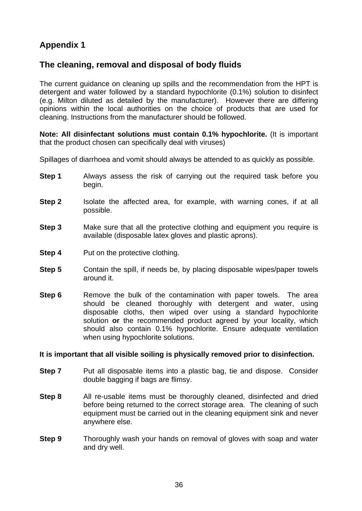# **Appendix 1**

# **The cleaning, removal and disposal of body fluids**

The current guidance on cleaning up spills and the recommendation from the HPT is detergent and water followed by a standard hypochlorite (0.1%) solution to disinfect (e.g. Milton diluted as detailed by the manufacturer). However there are differing opinions within the local authorities on the choice of products that are used for cleaning. Instructions from the manufacturer should be followed.

**Note: All disinfectant solutions must contain 0.1% hypochlorite.** (It is important that the product chosen can specifically deal with viruses)

Spillages of diarrhoea and vomit should always be attended to as quickly as possible.

- **Step 1** Always assess the risk of carrying out the required task before you begin.
- **Step 2** Isolate the affected area, for example, with warning cones, if at all possible.
- **Step 3** Make sure that all the protective clothing and equipment you require is available (disposable latex gloves and plastic aprons).
- **Step 4** Put on the protective clothing.
- **Step 5** Contain the spill, if needs be, by placing disposable wipes/paper towels around it.
- **Step 6** Remove the bulk of the contamination with paper towels. The area should be cleaned thoroughly with detergent and water, using disposable cloths, then wiped over using a standard hypochlorite solution **or** the recommended product agreed by your locality, which should also contain 0.1% hypochlorite. Ensure adequate ventilation when using hypochlorite solutions.

#### **It is important that all visible soiling is physically removed prior to disinfection.**

- **Step 7** Put all disposable items into a plastic bag, tie and dispose. Consider double bagging if bags are flimsy.
- **Step 8** All re-usable items must be thoroughly cleaned, disinfected and dried before being returned to the correct storage area. The cleaning of such equipment must be carried out in the cleaning equipment sink and never anywhere else.
- **Step 9** Thoroughly wash your hands on removal of gloves with soap and water and dry well.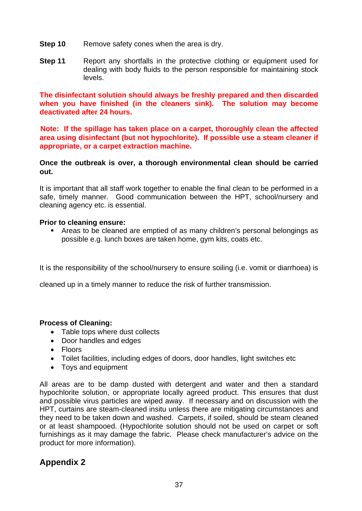- **Step 10** Remove safety cones when the area is dry.
- **Step 11** Report any shortfalls in the protective clothing or equipment used for dealing with body fluids to the person responsible for maintaining stock levels.

 **The disinfectant solution should always be freshly prepared and then discarded when you have finished (in the cleaners sink). The solution may become deactivated after 24 hours.** 

 **Note: If the spillage has taken place on a carpet, thoroughly clean the affected area using disinfectant (but not hypochlorite). If possible use a steam cleaner if appropriate, or a carpet extraction machine.** 

**Once the outbreak is over, a thorough environmental clean should be carried out.** 

It is important that all staff work together to enable the final clean to be performed in a safe, timely manner. Good communication between the HPT, school/nursery and cleaning agency etc. is essential.

### **Prior to cleaning ensure:**

 Areas to be cleaned are emptied of as many children's personal belongings as possible e.g. lunch boxes are taken home, gym kits, coats etc.

It is the responsibility of the school/nursery to ensure soiling (i.e. vomit or diarrhoea) is

cleaned up in a timely manner to reduce the risk of further transmission.

# **Process of Cleaning:**

- Table tops where dust collects
- Door handles and edges
- Floors
- Toilet facilities, including edges of doors, door handles, light switches etc
- Toys and equipment

All areas are to be damp dusted with detergent and water and then a standard hypochlorite solution, or appropriate locally agreed product. This ensures that dust and possible virus particles are wiped away. If necessary and on discussion with the HPT, curtains are steam-cleaned insitu unless there are mitigating circumstances and they need to be taken down and washed. Carpets, if soiled, should be steam cleaned or at least shampooed. (Hypochlorite solution should not be used on carpet or soft furnishings as it may damage the fabric. Please check manufacturer's advice on the product for more information).

# **Appendix 2**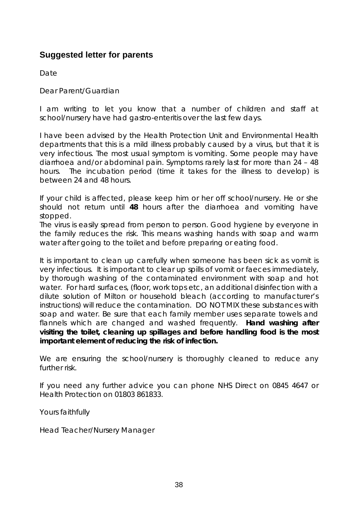# **Suggested letter for parents**

**Date** 

Dear Parent/Guardian

I am writing to let you know that a number of children and staff at school/nursery have had gastro-enteritis over the last few days.

I have been advised by the Health Protection Unit and Environmental Health departments that this is a mild illness probably caused by a virus, but that it is very infectious. The most usual symptom is vomiting. Some people may have diarrhoea and/or abdominal pain. Symptoms rarely last for more than 24 – 48 hours. The incubation period (time it takes for the illness to develop) is between 24 and 48 hours.

If your child is affected, please keep him or her off school/nursery. He or she should not return until **48** hours after the diarrhoea and vomiting have stopped.

The virus is easily spread from person to person. Good hygiene by everyone in the family reduces the risk. This means washing hands with soap and warm water after going to the toilet and before preparing or eating food.

It is important to clean up carefully when someone has been sick as vomit is very infectious. It is important to clear up spills of vomit or faeces immediately, by thorough washing of the contaminated environment with soap and hot water. For hard surfaces, (floor, work tops etc, an additional disinfection with a dilute solution of Milton or household bleach (according to manufacturer's instructions) will reduce the contamination. DO NOT MIX these substances with soap and water. Be sure that each family member uses separate towels and flannels which are changed and washed frequently. **Hand washing after visiting the toilet, cleaning up spillages and before handling food is the most important element of reducing the risk of infection.** 

We are ensuring the school/nursery is thoroughly cleaned to reduce any further risk.

If you need any further advice you can phone NHS Direct on 0845 4647 or Health Protection on 01803 861833.

Yours faithfully

Head Teacher/Nursery Manager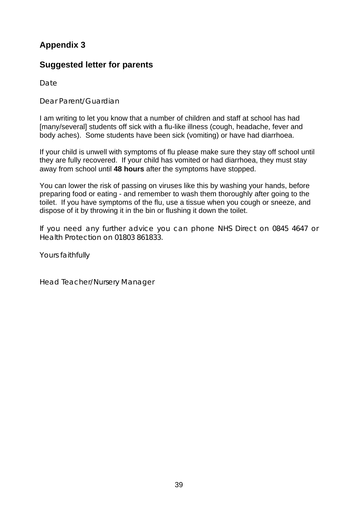# **Appendix 3**

# **Suggested letter for parents**

**Date** 

Dear Parent/Guardian

I am writing to let you know that a number of children and staff at school has had [many/several] students off sick with a flu-like illness (cough, headache, fever and body aches). Some students have been sick (vomiting) or have had diarrhoea.

If your child is unwell with symptoms of flu please make sure they stay off school until they are fully recovered. If your child has vomited or had diarrhoea, they must stay away from school until **48 hours** after the symptoms have stopped.

You can lower the risk of passing on viruses like this by washing your hands, before preparing food or eating - and remember to wash them thoroughly after going to the toilet. If you have symptoms of the flu, use a tissue when you cough or sneeze, and dispose of it by throwing it in the bin or flushing it down the toilet.

If you need any further advice you can phone NHS Direct on 0845 4647 or Health Protection on 01803 861833.

Yours faithfully

Head Teacher/Nursery Manager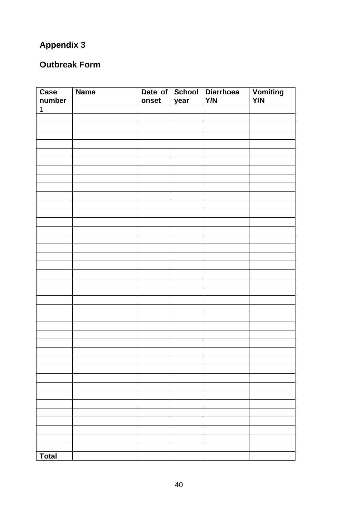# **Appendix 3**

# **Outbreak Form**

| Case           | <b>Name</b> |       |      | Date of School Diarrhoea | Vomiting |
|----------------|-------------|-------|------|--------------------------|----------|
| number         |             | onset | year | Y/N                      | Y/N      |
| $\overline{1}$ |             |       |      |                          |          |
|                |             |       |      |                          |          |
|                |             |       |      |                          |          |
|                |             |       |      |                          |          |
|                |             |       |      |                          |          |
|                |             |       |      |                          |          |
|                |             |       |      |                          |          |
|                |             |       |      |                          |          |
|                |             |       |      |                          |          |
|                |             |       |      |                          |          |
|                |             |       |      |                          |          |
|                |             |       |      |                          |          |
|                |             |       |      |                          |          |
|                |             |       |      |                          |          |
|                |             |       |      |                          |          |
|                |             |       |      |                          |          |
|                |             |       |      |                          |          |
|                |             |       |      |                          |          |
|                |             |       |      |                          |          |
|                |             |       |      |                          |          |
|                |             |       |      |                          |          |
|                |             |       |      |                          |          |
|                |             |       |      |                          |          |
|                |             |       |      |                          |          |
|                |             |       |      |                          |          |
|                |             |       |      |                          |          |
|                |             |       |      |                          |          |
|                |             |       |      |                          |          |
|                |             |       |      |                          |          |
|                |             |       |      |                          |          |
|                |             |       |      |                          |          |
|                |             |       |      |                          |          |
|                |             |       |      |                          |          |
|                |             |       |      |                          |          |
|                |             |       |      |                          |          |
|                |             |       |      |                          |          |
|                |             |       |      |                          |          |
|                |             |       |      |                          |          |
|                |             |       |      |                          |          |
|                |             |       |      |                          |          |
| <b>Total</b>   |             |       |      |                          |          |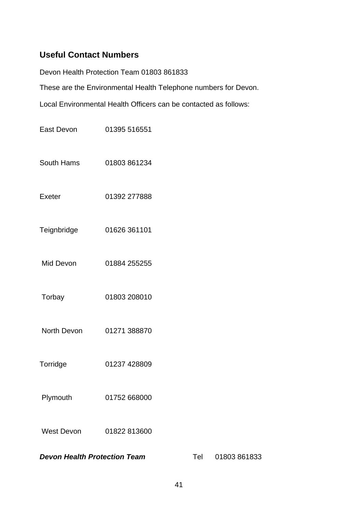# **Useful Contact Numbers**

Devon Health Protection Team 01803 861833

These are the Environmental Health Telephone numbers for Devon.

Local Environmental Health Officers can be contacted as follows:

| <b>Devon Health Protection Team</b> |              | Tel | 01803861833 |
|-------------------------------------|--------------|-----|-------------|
| <b>West Devon</b>                   | 01822 813600 |     |             |
| Plymouth                            | 01752 668000 |     |             |
| Torridge                            | 01237 428809 |     |             |
| North Devon                         | 01271 388870 |     |             |
| Torbay                              | 01803 208010 |     |             |
| Mid Devon                           | 01884 255255 |     |             |
| Teignbridge                         | 01626 361101 |     |             |
| Exeter                              | 01392 277888 |     |             |
| South Hams                          | 01803 861234 |     |             |
| East Devon                          | 01395 516551 |     |             |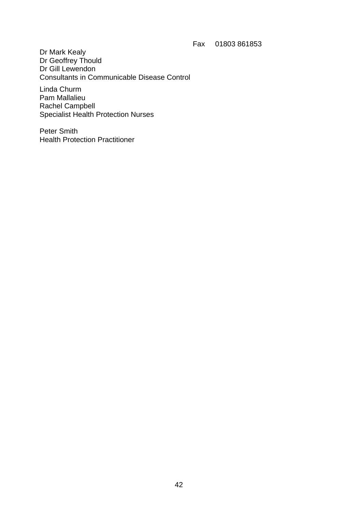Fax 01803 861853

Dr Mark Kealy Dr Geoffrey Thould Dr Gill Lewendon Consultants in Communicable Disease Control

Linda Churm Pam Mallalieu Rachel Campbell Specialist Health Protection Nurses

Peter Smith Health Protection Practitioner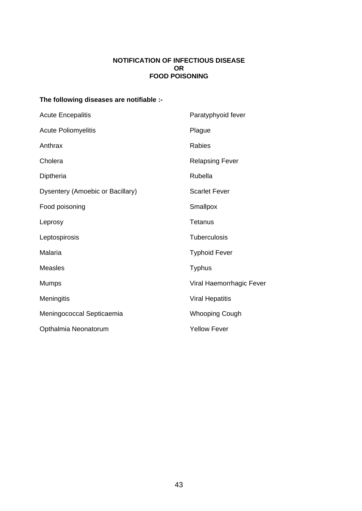#### **NOTIFICATION OF INFECTIOUS DISEASE OR FOOD POISONING**

# **The following diseases are notifiable :-**

| <b>Acute Encepalitis</b>         | Paratyphyoid fever       |  |
|----------------------------------|--------------------------|--|
| <b>Acute Poliomyelitis</b>       | Plague                   |  |
| Anthrax                          | Rabies                   |  |
| Cholera                          | <b>Relapsing Fever</b>   |  |
| Diptheria                        | Rubella                  |  |
| Dysentery (Amoebic or Bacillary) | <b>Scarlet Fever</b>     |  |
| Food poisoning                   | Smallpox                 |  |
| Leprosy                          | Tetanus                  |  |
| Leptospirosis                    | <b>Tuberculosis</b>      |  |
| Malaria                          | <b>Typhoid Fever</b>     |  |
| <b>Measles</b>                   | <b>Typhus</b>            |  |
| <b>Mumps</b>                     | Viral Haemorrhagic Fever |  |
| Meningitis                       | <b>Viral Hepatitis</b>   |  |
| Meningococcal Septicaemia        | <b>Whooping Cough</b>    |  |
| Opthalmia Neonatorum             | <b>Yellow Fever</b>      |  |